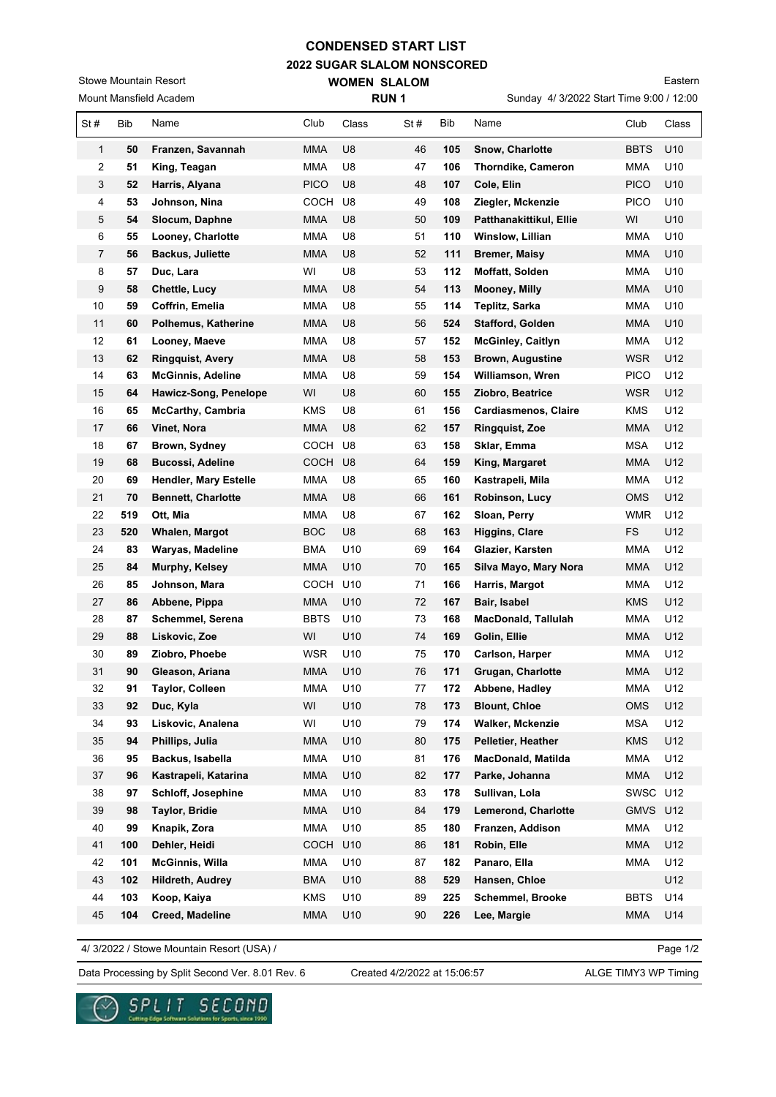## **2022 SUGAR SLALOM NONSCORED CONDENSED START LIST**

**WOMEN SLALOM** 

Mount Mansfield Academ Stowe Mountain Resort

Sunday 4/ 3/2022 Start Time 9:00 / 12:00 Eastern

| Mount Mansfield Academ  |     |                           |             | <b>RUN1</b>     |     |     | Sunday 4/ 3/2022 Start Time 9:00 / 12:00 |             |       |
|-------------------------|-----|---------------------------|-------------|-----------------|-----|-----|------------------------------------------|-------------|-------|
| St#                     | Bib | Name                      | Club        | Class           | St# | Bib | Name                                     | Club        | Class |
| 1                       | 50  | Franzen, Savannah         | MMA         | U8              | 46  | 105 | <b>Snow, Charlotte</b>                   | <b>BBTS</b> | U10   |
| $\overline{\mathbf{c}}$ | 51  | King, Teagan              | MMA         | U8              | 47  | 106 | Thorndike, Cameron                       | <b>MMA</b>  | U10   |
| 3                       | 52  | Harris, Alyana            | <b>PICO</b> | U8              | 48  | 107 | Cole, Elin                               | <b>PICO</b> | U10   |
| 4                       | 53  | Johnson, Nina             | COCH        | U8              | 49  | 108 | Ziegler, Mckenzie                        | <b>PICO</b> | U10   |
| 5                       | 54  | Slocum, Daphne            | <b>MMA</b>  | U8              | 50  | 109 | Patthanakittikul, Ellie                  | WI          | U10   |
| 6                       | 55  | Looney, Charlotte         | <b>MMA</b>  | U8              | 51  | 110 | Winslow, Lillian                         | MMA         | U10   |
| $\overline{7}$          | 56  | <b>Backus, Juliette</b>   | MMA         | U8              | 52  | 111 | <b>Bremer, Maisy</b>                     | MMA         | U10   |
| 8                       | 57  | Duc, Lara                 | WI          | U8              | 53  | 112 | Moffatt, Solden                          | MMA         | U10   |
| 9                       | 58  | <b>Chettle, Lucy</b>      | MMA         | U8              | 54  | 113 | Mooney, Milly                            | MMA         | U10   |
| 10                      | 59  | Coffrin, Emelia           | MMA         | U8              | 55  | 114 | Teplitz, Sarka                           | MMA         | U10   |
| 11                      | 60  | Polhemus, Katherine       | MMA         | U8              | 56  | 524 | <b>Stafford, Golden</b>                  | MMA         | U10   |
| 12                      | 61  | Looney, Maeve             | MMA         | U8              | 57  | 152 | <b>McGinley, Caitlyn</b>                 | MMA         | U12   |
| 13                      | 62  | <b>Ringquist, Avery</b>   | MMA         | U8              | 58  | 153 | <b>Brown, Augustine</b>                  | <b>WSR</b>  | U12   |
| 14                      | 63  | <b>McGinnis, Adeline</b>  | <b>MMA</b>  | U8              | 59  | 154 | Williamson, Wren                         | <b>PICO</b> | U12   |
| 15                      | 64  | Hawicz-Song, Penelope     | WI          | U8              | 60  | 155 | Ziobro, Beatrice                         | <b>WSR</b>  | U12   |
| 16                      | 65  | <b>McCarthy, Cambria</b>  | <b>KMS</b>  | U8              | 61  | 156 | <b>Cardiasmenos, Claire</b>              | <b>KMS</b>  | U12   |
| 17                      | 66  | Vinet, Nora               | <b>MMA</b>  | U <sub>8</sub>  | 62  | 157 | <b>Ringquist, Zoe</b>                    | MMA         | U12   |
| 18                      | 67  | Brown, Sydney             | COCH        | U8              | 63  | 158 | Sklar, Emma                              | <b>MSA</b>  | U12   |
| 19                      | 68  | <b>Bucossi, Adeline</b>   | COCH U8     |                 | 64  | 159 | King, Margaret                           | MMA         | U12   |
| 20                      | 69  | Hendler, Mary Estelle     | MMA         | U8              | 65  | 160 | Kastrapeli, Mila                         | MMA         | U12   |
| 21                      | 70  | <b>Bennett, Charlotte</b> | MMA         | U8              | 66  | 161 | Robinson, Lucy                           | OMS         | U12   |
| 22                      | 519 | Ott, Mia                  | <b>MMA</b>  | U8              | 67  | 162 | Sloan, Perry                             | <b>WMR</b>  | U12   |
| 23                      | 520 | Whalen, Margot            | <b>BOC</b>  | U8              | 68  | 163 | <b>Higgins, Clare</b>                    | FS          | U12   |
| 24                      | 83  | Waryas, Madeline          | <b>BMA</b>  | U <sub>10</sub> | 69  | 164 | Glazier, Karsten                         | <b>MMA</b>  | U12   |
| 25                      | 84  | Murphy, Kelsey            | MMA         | U10             | 70  | 165 | Silva Mayo, Mary Nora                    | MMA         | U12   |
| 26                      | 85  | Johnson, Mara             | COCH        | U10             | 71  | 166 | Harris, Margot                           | <b>MMA</b>  | U12   |
| 27                      | 86  | Abbene, Pippa             | MMA         | U10             | 72  | 167 | Bair, Isabel                             | KMS         | U12   |
| 28                      | 87  | Schemmel, Serena          | <b>BBTS</b> | U10             | 73  | 168 | <b>MacDonald, Tallulah</b>               | MMA         | U12   |
| 29                      | 88  | Liskovic, Zoe             | WI          | U10             | 74  | 169 | Golin, Ellie                             | MMA         | U12   |
| 30                      | 89  | Ziobro, Phoebe            | WSR         | U <sub>10</sub> | 75  | 170 | Carlson, Harper                          | MMA         | U12   |
| 31                      | 90  | Gleason, Ariana           | <b>MMA</b>  | U10             | 76  | 171 | Grugan, Charlotte                        | <b>MMA</b>  | U12   |
| 32                      | 91  | Taylor, Colleen           | <b>MMA</b>  | U10             | 77  | 172 | Abbene, Hadley                           | <b>MMA</b>  | U12   |
| 33                      | 92  | Duc, Kyla                 | WI          | U10             | 78  | 173 | <b>Blount, Chloe</b>                     | <b>OMS</b>  | U12   |
| 34                      | 93  | Liskovic, Analena         | WI          | U10             | 79  | 174 | <b>Walker, Mckenzie</b>                  | <b>MSA</b>  | U12   |
| 35                      | 94  | Phillips, Julia           | <b>MMA</b>  | U10             | 80  | 175 | Pelletier, Heather                       | KMS         | U12   |
| 36                      | 95  | Backus, Isabella          | <b>MMA</b>  | U10             | 81  | 176 | MacDonald, Matilda                       | <b>MMA</b>  | U12   |
| 37                      | 96  | Kastrapeli, Katarina      | <b>MMA</b>  | U10             | 82  | 177 | Parke, Johanna                           | <b>MMA</b>  | U12   |
| 38                      | 97  | Schloff, Josephine        | MMA         | U10             | 83  | 178 | Sullivan, Lola                           | <b>SWSC</b> | U12   |
| 39                      | 98  | <b>Taylor, Bridie</b>     | MMA         | U10             | 84  | 179 | Lemerond, Charlotte                      | <b>GMVS</b> | U12   |
| 40                      | 99  | Knapik, Zora              | MMA         | U10             | 85  | 180 | Franzen, Addison                         | MMA         | U12   |
| 41                      | 100 | Dehler, Heidi             | COCH U10    |                 | 86  | 181 | Robin, Elle                              | MMA         | U12   |
| 42                      | 101 | <b>McGinnis, Willa</b>    | MMA         | U10             | 87  | 182 | Panaro, Ella                             | <b>MMA</b>  | U12   |
| 43                      | 102 | Hildreth, Audrey          | <b>BMA</b>  | U10             | 88  | 529 | Hansen, Chloe                            |             | U12   |
| 44                      | 103 | Koop, Kaiya               | <b>KMS</b>  | U10             | 89  | 225 | Schemmel, Brooke                         | <b>BBTS</b> | U14   |
| 45                      | 104 | Creed, Madeline           | <b>MMA</b>  | U10             | 90  | 226 | Lee, Margie                              | <b>MMA</b>  | U14   |

4/ 3/2022 / Stowe Mountain Resort (USA) /

Page 1/2

Data Processing by Split Second Ver. 8.01 Rev. 6 Created 4/2/2022 at 15:06:57 ALGE TIMY3 WP Timing

Created 4/2/2022 at 15:06:57